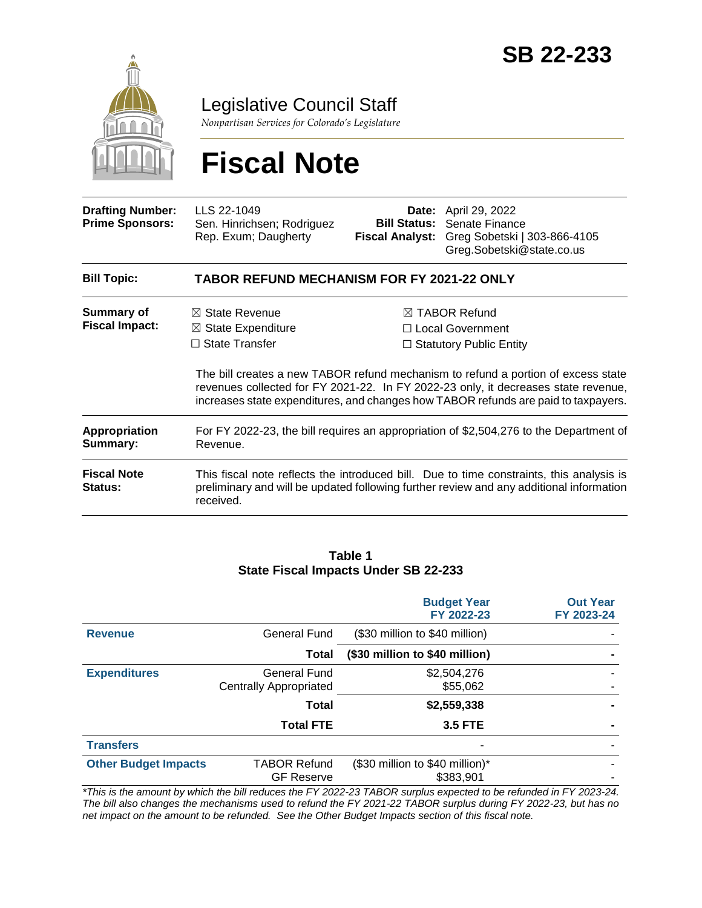

Legislative Council Staff

*Nonpartisan Services for Colorado's Legislature*

# **Fiscal Note**

| <b>Drafting Number:</b><br><b>Prime Sponsors:</b> | LLS 22-1049<br>Sen. Hinrichsen; Rodriguez<br>Rep. Exum; Daugherty                                                                                                                                                                                             | <b>Bill Status:</b><br><b>Fiscal Analyst:</b>                                    | <b>Date:</b> April 29, 2022<br>Senate Finance<br>Greg Sobetski   303-866-4105<br>Greg.Sobetski@state.co.us                                                                          |  |  |
|---------------------------------------------------|---------------------------------------------------------------------------------------------------------------------------------------------------------------------------------------------------------------------------------------------------------------|----------------------------------------------------------------------------------|-------------------------------------------------------------------------------------------------------------------------------------------------------------------------------------|--|--|
| <b>Bill Topic:</b>                                | <b>TABOR REFUND MECHANISM FOR FY 2021-22 ONLY</b>                                                                                                                                                                                                             |                                                                                  |                                                                                                                                                                                     |  |  |
| Summary of<br><b>Fiscal Impact:</b>               | $\boxtimes$ State Revenue<br>$\boxtimes$ State Expenditure<br>$\Box$ State Transfer                                                                                                                                                                           | $\boxtimes$ TABOR Refund<br>□ Local Government<br>$\Box$ Statutory Public Entity |                                                                                                                                                                                     |  |  |
|                                                   | The bill creates a new TABOR refund mechanism to refund a portion of excess state<br>revenues collected for FY 2021-22. In FY 2022-23 only, it decreases state revenue,<br>increases state expenditures, and changes how TABOR refunds are paid to taxpayers. |                                                                                  |                                                                                                                                                                                     |  |  |
| <b>Appropriation</b><br>Summary:                  | For FY 2022-23, the bill requires an appropriation of \$2,504,276 to the Department of<br>Revenue.                                                                                                                                                            |                                                                                  |                                                                                                                                                                                     |  |  |
| <b>Fiscal Note</b><br><b>Status:</b>              | received.                                                                                                                                                                                                                                                     |                                                                                  | This fiscal note reflects the introduced bill. Due to time constraints, this analysis is<br>preliminary and will be updated following further review and any additional information |  |  |

#### **Table 1 State Fiscal Impacts Under SB 22-233**

|                             |                                               | <b>Budget Year</b><br>FY 2022-23             | <b>Out Year</b><br>FY 2023-24 |
|-----------------------------|-----------------------------------------------|----------------------------------------------|-------------------------------|
| <b>Revenue</b>              | General Fund                                  | (\$30 million to \$40 million)               |                               |
|                             | Total                                         | (\$30 million to \$40 million)               |                               |
| <b>Expenditures</b>         | General Fund<br><b>Centrally Appropriated</b> | \$2,504,276<br>\$55,062                      |                               |
|                             | Total                                         | \$2,559,338                                  |                               |
|                             | <b>Total FTE</b>                              | <b>3.5 FTE</b>                               |                               |
| <b>Transfers</b>            |                                               | ۰                                            |                               |
| <b>Other Budget Impacts</b> | <b>TABOR Refund</b><br><b>GF Reserve</b>      | (\$30 million to \$40 million)*<br>\$383,901 |                               |

*\*This is the amount by which the bill reduces the FY 2022-23 TABOR surplus expected to be refunded in FY 2023-24. The bill also changes the mechanisms used to refund the FY 2021-22 TABOR surplus during FY 2022-23, but has no net impact on the amount to be refunded. See the Other Budget Impacts section of this fiscal note.*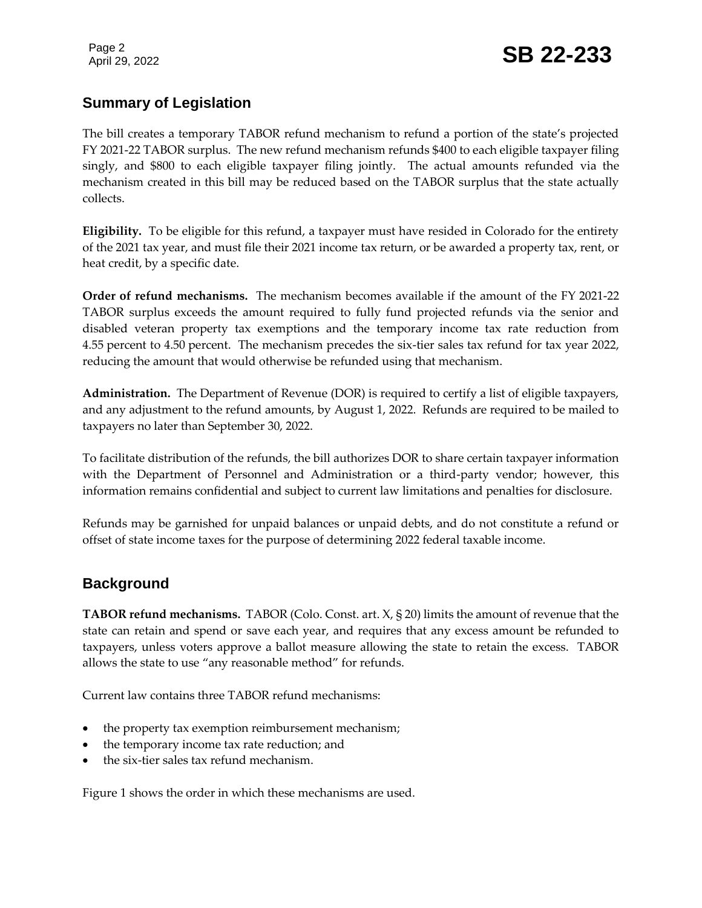Page 2

# **Summary of Legislation**

The bill creates a temporary TABOR refund mechanism to refund a portion of the state's projected FY 2021-22 TABOR surplus. The new refund mechanism refunds \$400 to each eligible taxpayer filing singly, and \$800 to each eligible taxpayer filing jointly. The actual amounts refunded via the mechanism created in this bill may be reduced based on the TABOR surplus that the state actually collects.

**Eligibility.** To be eligible for this refund, a taxpayer must have resided in Colorado for the entirety of the 2021 tax year, and must file their 2021 income tax return, or be awarded a property tax, rent, or heat credit, by a specific date.

**Order of refund mechanisms.** The mechanism becomes available if the amount of the FY 2021-22 TABOR surplus exceeds the amount required to fully fund projected refunds via the senior and disabled veteran property tax exemptions and the temporary income tax rate reduction from 4.55 percent to 4.50 percent. The mechanism precedes the six-tier sales tax refund for tax year 2022, reducing the amount that would otherwise be refunded using that mechanism.

**Administration.** The Department of Revenue (DOR) is required to certify a list of eligible taxpayers, and any adjustment to the refund amounts, by August 1, 2022. Refunds are required to be mailed to taxpayers no later than September 30, 2022.

To facilitate distribution of the refunds, the bill authorizes DOR to share certain taxpayer information with the Department of Personnel and Administration or a third-party vendor; however, this information remains confidential and subject to current law limitations and penalties for disclosure.

Refunds may be garnished for unpaid balances or unpaid debts, and do not constitute a refund or offset of state income taxes for the purpose of determining 2022 federal taxable income.

## **Background**

**TABOR refund mechanisms.** TABOR (Colo. Const. art. X, § 20) limits the amount of revenue that the state can retain and spend or save each year, and requires that any excess amount be refunded to taxpayers, unless voters approve a ballot measure allowing the state to retain the excess. TABOR allows the state to use "any reasonable method" for refunds.

Current law contains three TABOR refund mechanisms:

- the property tax exemption reimbursement mechanism;
- the temporary income tax rate reduction; and
- the six-tier sales tax refund mechanism.

Figure 1 shows the order in which these mechanisms are used.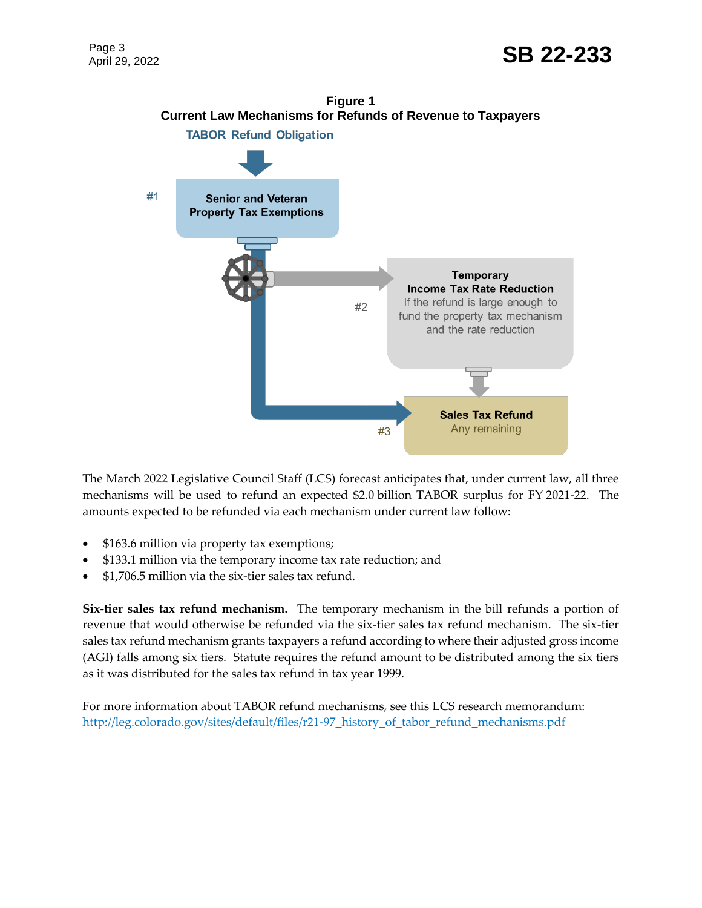

The March 2022 Legislative Council Staff (LCS) forecast anticipates that, under current law, all three mechanisms will be used to refund an expected \$2.0 billion TABOR surplus for FY 2021-22. The amounts expected to be refunded via each mechanism under current law follow:

- \$163.6 million via property tax exemptions;
- \$133.1 million via the temporary income tax rate reduction; and
- \$1,706.5 million via the six-tier sales tax refund.

**Six-tier sales tax refund mechanism.** The temporary mechanism in the bill refunds a portion of revenue that would otherwise be refunded via the six-tier sales tax refund mechanism. The six-tier sales tax refund mechanism grants taxpayers a refund according to where their adjusted gross income (AGI) falls among six tiers. Statute requires the refund amount to be distributed among the six tiers as it was distributed for the sales tax refund in tax year 1999.

For more information about TABOR refund mechanisms, see this LCS research memorandum: [http://leg.colorado.gov/sites/default/files/r21-97\\_history\\_of\\_tabor\\_refund\\_mechanisms.pdf](http://leg.colorado.gov/sites/default/files/r21-97_history_of_tabor_refund_mechanisms.pdf)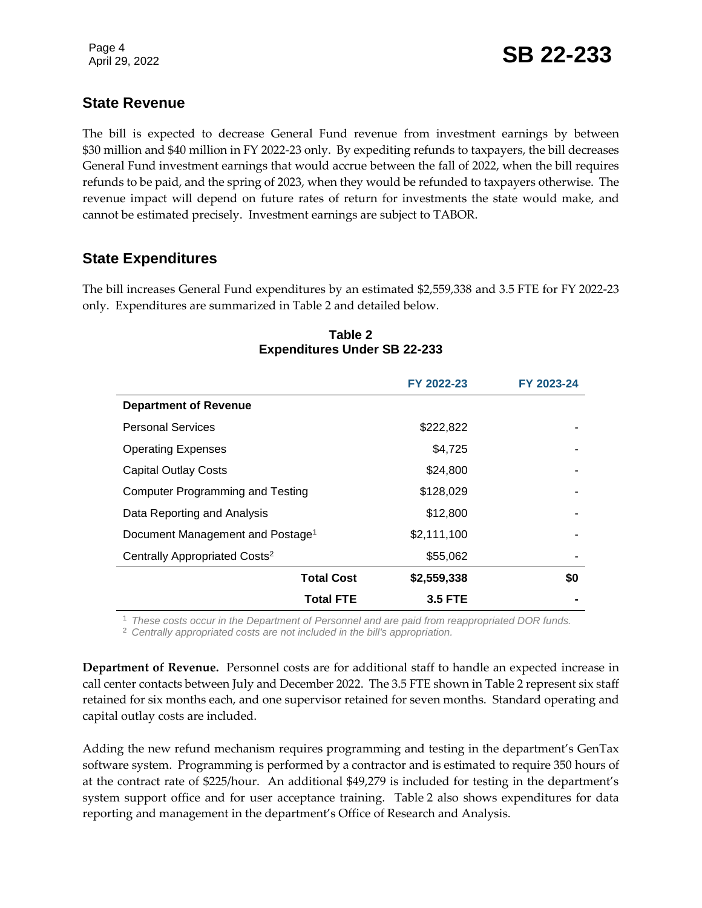# **State Revenue**

The bill is expected to decrease General Fund revenue from investment earnings by between \$30 million and \$40 million in FY 2022-23 only. By expediting refunds to taxpayers, the bill decreases General Fund investment earnings that would accrue between the fall of 2022, when the bill requires refunds to be paid, and the spring of 2023, when they would be refunded to taxpayers otherwise. The revenue impact will depend on future rates of return for investments the state would make, and cannot be estimated precisely. Investment earnings are subject to TABOR.

# **State Expenditures**

The bill increases General Fund expenditures by an estimated \$2,559,338 and 3.5 FTE for FY 2022-23 only. Expenditures are summarized in Table 2 and detailed below.

|                                              | FY 2022-23     | FY 2023-24 |
|----------------------------------------------|----------------|------------|
| <b>Department of Revenue</b>                 |                |            |
| <b>Personal Services</b>                     | \$222,822      |            |
| <b>Operating Expenses</b>                    | \$4,725        |            |
| <b>Capital Outlay Costs</b>                  | \$24,800       |            |
| <b>Computer Programming and Testing</b>      | \$128,029      |            |
| Data Reporting and Analysis                  | \$12,800       |            |
| Document Management and Postage <sup>1</sup> | \$2,111,100    |            |
| Centrally Appropriated Costs <sup>2</sup>    | \$55,062       |            |
| <b>Total Cost</b>                            | \$2,559,338    | \$0        |
| Total FTE                                    | <b>3.5 FTE</b> |            |

#### **Table 2 Expenditures Under SB 22-233**

<sup>1</sup> *These costs occur in the Department of Personnel and are paid from reappropriated DOR funds.*

<sup>2</sup> *Centrally appropriated costs are not included in the bill's appropriation.*

**Department of Revenue.** Personnel costs are for additional staff to handle an expected increase in call center contacts between July and December 2022. The 3.5 FTE shown in Table 2 represent six staff retained for six months each, and one supervisor retained for seven months. Standard operating and capital outlay costs are included.

Adding the new refund mechanism requires programming and testing in the department's GenTax software system. Programming is performed by a contractor and is estimated to require 350 hours of at the contract rate of \$225/hour. An additional \$49,279 is included for testing in the department's system support office and for user acceptance training. Table 2 also shows expenditures for data reporting and management in the department's Office of Research and Analysis.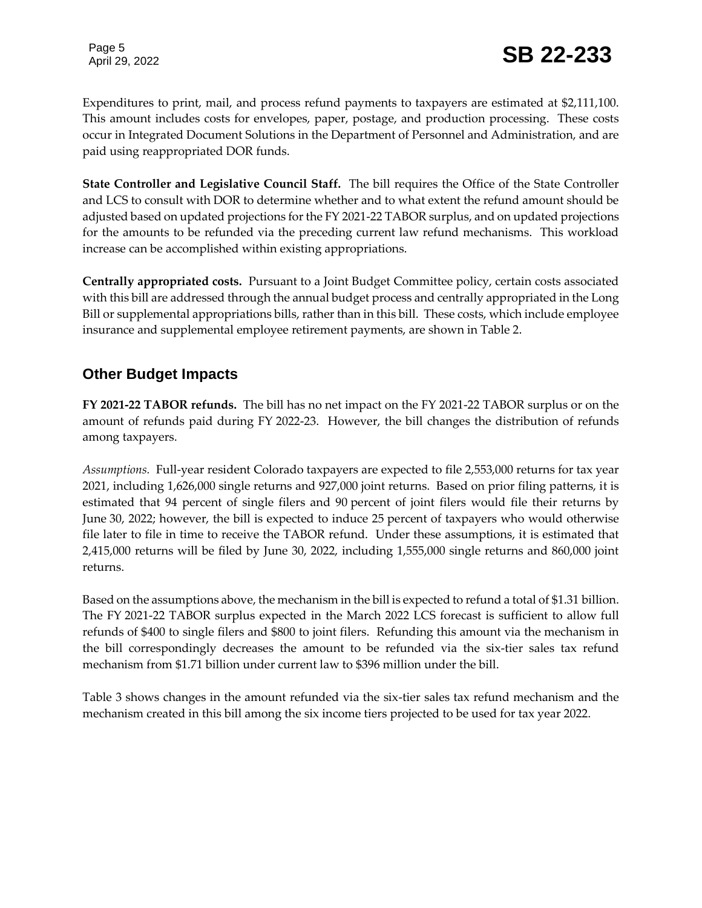Expenditures to print, mail, and process refund payments to taxpayers are estimated at \$2,111,100. This amount includes costs for envelopes, paper, postage, and production processing. These costs occur in Integrated Document Solutions in the Department of Personnel and Administration, and are paid using reappropriated DOR funds.

**State Controller and Legislative Council Staff.** The bill requires the Office of the State Controller and LCS to consult with DOR to determine whether and to what extent the refund amount should be adjusted based on updated projections for the FY 2021-22 TABOR surplus, and on updated projections for the amounts to be refunded via the preceding current law refund mechanisms. This workload increase can be accomplished within existing appropriations.

**Centrally appropriated costs.** Pursuant to a Joint Budget Committee policy, certain costs associated with this bill are addressed through the annual budget process and centrally appropriated in the Long Bill or supplemental appropriations bills, rather than in this bill. These costs, which include employee insurance and supplemental employee retirement payments, are shown in Table 2.

# **Other Budget Impacts**

**FY 2021-22 TABOR refunds.** The bill has no net impact on the FY 2021-22 TABOR surplus or on the amount of refunds paid during FY 2022-23. However, the bill changes the distribution of refunds among taxpayers.

*Assumptions.* Full-year resident Colorado taxpayers are expected to file 2,553,000 returns for tax year 2021, including 1,626,000 single returns and 927,000 joint returns. Based on prior filing patterns, it is estimated that 94 percent of single filers and 90 percent of joint filers would file their returns by June 30, 2022; however, the bill is expected to induce 25 percent of taxpayers who would otherwise file later to file in time to receive the TABOR refund. Under these assumptions, it is estimated that 2,415,000 returns will be filed by June 30, 2022, including 1,555,000 single returns and 860,000 joint returns.

Based on the assumptions above, the mechanism in the bill is expected to refund a total of \$1.31 billion. The FY 2021-22 TABOR surplus expected in the March 2022 LCS forecast is sufficient to allow full refunds of \$400 to single filers and \$800 to joint filers. Refunding this amount via the mechanism in the bill correspondingly decreases the amount to be refunded via the six-tier sales tax refund mechanism from \$1.71 billion under current law to \$396 million under the bill.

Table 3 shows changes in the amount refunded via the six-tier sales tax refund mechanism and the mechanism created in this bill among the six income tiers projected to be used for tax year 2022.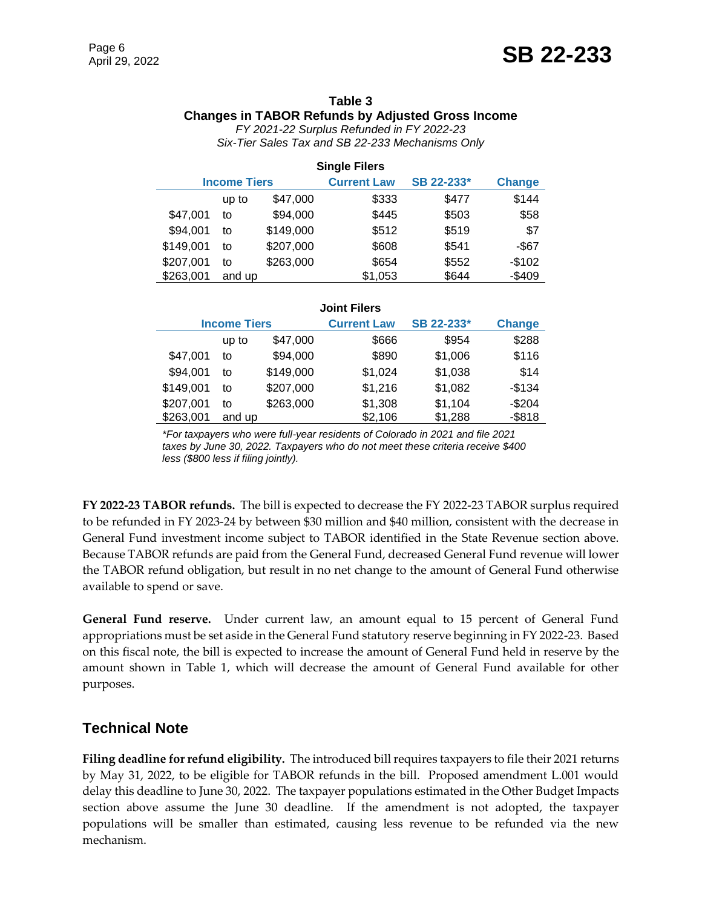### **Table 3 Changes in TABOR Refunds by Adjusted Gross Income**

*FY 2021-22 Surplus Refunded in FY 2022-23 Six-Tier Sales Tax and SB 22-233 Mechanisms Only*

| <b>Single Filers</b> |        |                    |            |               |          |
|----------------------|--------|--------------------|------------|---------------|----------|
| <b>Income Tiers</b>  |        | <b>Current Law</b> | SB 22-233* | <b>Change</b> |          |
|                      | up to  | \$47,000           | \$333      | \$477         | \$144    |
| \$47,001             | to     | \$94,000           | \$445      | \$503         | \$58     |
| \$94,001             | to     | \$149,000          | \$512      | \$519         | \$7      |
| \$149,001            | to     | \$207,000          | \$608      | \$541         | $-$ \$67 |
| \$207,001            | to     | \$263,000          | \$654      | \$552         | $-$102$  |
| \$263,001            | and up |                    | \$1,053    | \$644         | $-$409$  |

| <b>Joint Filers</b> |  |
|---------------------|--|
|                     |  |

| <b>Income Tiers</b> |        | <b>Current Law</b> | SB 22-233* | <b>Change</b> |           |
|---------------------|--------|--------------------|------------|---------------|-----------|
|                     | up to  | \$47,000           | \$666      | \$954         | \$288     |
| \$47,001            | to     | \$94,000           | \$890      | \$1,006       | \$116     |
| \$94,001            | to     | \$149,000          | \$1,024    | \$1,038       | \$14      |
| \$149,001           | to     | \$207,000          | \$1,216    | \$1,082       | $-$134$   |
| \$207,001           | to     | \$263,000          | \$1,308    | \$1,104       | $-$204$   |
| \$263,001           | and up |                    | \$2,106    | \$1,288       | $-$ \$818 |

*\*For taxpayers who were full-year residents of Colorado in 2021 and file 2021 taxes by June 30, 2022. Taxpayers who do not meet these criteria receive \$400 less (\$800 less if filing jointly).*

**FY 2022-23 TABOR refunds.** The bill is expected to decrease the FY 2022-23 TABOR surplus required to be refunded in FY 2023-24 by between \$30 million and \$40 million, consistent with the decrease in General Fund investment income subject to TABOR identified in the State Revenue section above. Because TABOR refunds are paid from the General Fund, decreased General Fund revenue will lower the TABOR refund obligation, but result in no net change to the amount of General Fund otherwise available to spend or save.

**General Fund reserve.** Under current law, an amount equal to 15 percent of General Fund appropriations must be set aside in the General Fund statutory reserve beginning in FY 2022-23. Based on this fiscal note, the bill is expected to increase the amount of General Fund held in reserve by the amount shown in Table 1, which will decrease the amount of General Fund available for other purposes.

# **Technical Note**

**Filing deadline for refund eligibility.** The introduced bill requires taxpayers to file their 2021 returns by May 31, 2022, to be eligible for TABOR refunds in the bill. Proposed amendment L.001 would delay this deadline to June 30, 2022. The taxpayer populations estimated in the Other Budget Impacts section above assume the June 30 deadline. If the amendment is not adopted, the taxpayer populations will be smaller than estimated, causing less revenue to be refunded via the new mechanism.